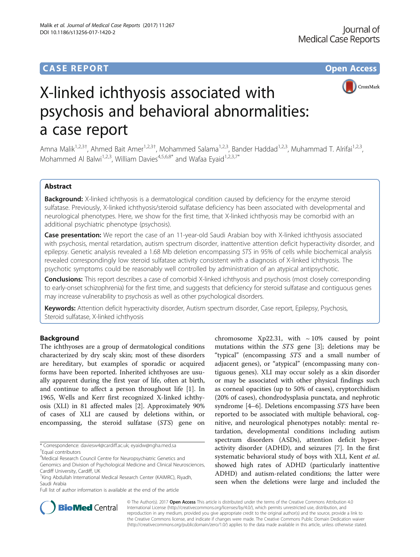# **CASE REPORT CASE REPORT CASE REPORT**



# X-linked ichthyosis associated with psychosis and behavioral abnormalities: a case report

Amna Malik<sup>1,2,3†</sup>, Ahmed Bait Amer<sup>1,2,3†</sup>, Mohammed Salama<sup>1,2,3</sup>, Bander Haddad<sup>1,2,3</sup>, Muhammad T. Alrifai<sup>1,2,3</sup>, Mohammed Al Balwi<sup>1,2,3</sup>, William Davies<sup>4,5,6,8\*</sup> and Wafaa Eyaid<sup>1,2,3,7\*</sup>

# Abstract

Background: X-linked ichthyosis is a dermatological condition caused by deficiency for the enzyme steroid sulfatase. Previously, X-linked ichthyosis/steroid sulfatase deficiency has been associated with developmental and neurological phenotypes. Here, we show for the first time, that X-linked ichthyosis may be comorbid with an additional psychiatric phenotype (psychosis).

Case presentation: We report the case of an 11-year-old Saudi Arabian boy with X-linked ichthyosis associated with psychosis, mental retardation, autism spectrum disorder, inattentive attention deficit hyperactivity disorder, and epilepsy. Genetic analysis revealed a 1.68 Mb deletion encompassing STS in 95% of cells while biochemical analysis revealed correspondingly low steroid sulfatase activity consistent with a diagnosis of X-linked ichthyosis. The psychotic symptoms could be reasonably well controlled by administration of an atypical antipsychotic.

Conclusions: This report describes a case of comorbid X-linked ichthyosis and psychosis (most closely corresponding to early-onset schizophrenia) for the first time, and suggests that deficiency for steroid sulfatase and contiguous genes may increase vulnerability to psychosis as well as other psychological disorders.

Keywords: Attention deficit hyperactivity disorder, Autism spectrum disorder, Case report, Epilepsy, Psychosis, Steroid sulfatase, X-linked ichthyosis

# Background

The ichthyoses are a group of dermatological conditions characterized by dry scaly skin; most of these disorders are hereditary, but examples of sporadic or acquired forms have been reported. Inherited ichthyoses are usually apparent during the first year of life, often at birth, and continue to affect a person throughout life [\[1](#page-5-0)]. In 1965, Wells and Kerr first recognized X-linked ichthyosis (XLI) in 81 affected males [[2\]](#page-5-0). Approximately 90% of cases of XLI are caused by deletions within, or encompassing, the steroid sulfatase (STS) gene on

\* Correspondence: [daviesw4@cardiff.ac.uk](mailto:daviesw4@cardiff.ac.uk); [eyaidw@ngha.med.sa](mailto:eyaidw@ngha.med.sa) † Equal contributors

Full list of author information is available at the end of the article

chromosome Xp22.31, with  $\sim 10\%$  caused by point mutations within the STS gene [\[3](#page-5-0)]; deletions may be "typical" (encompassing STS and a small number of adjacent genes), or "atypical" (encompassing many contiguous genes). XLI may occur solely as a skin disorder or may be associated with other physical findings such as corneal opacities (up to 50% of cases), cryptorchidism (20% of cases), chondrodysplasia punctata, and nephrotic syndrome [\[4](#page-5-0)–[6](#page-5-0)]. Deletions encompassing STS have been reported to be associated with multiple behavioral, cognitive, and neurological phenotypes notably: mental retardation, developmental conditions including autism spectrum disorders (ASDs), attention deficit hyperactivity disorder (ADHD), and seizures [\[7](#page-5-0)]. In the first systematic behavioral study of boys with XLI, Kent et al. showed high rates of ADHD (particularly inattentive ADHD) and autism-related conditions; the latter were seen when the deletions were large and included the



© The Author(s). 2017 **Open Access** This article is distributed under the terms of the Creative Commons Attribution 4.0 International License [\(http://creativecommons.org/licenses/by/4.0/](http://creativecommons.org/licenses/by/4.0/)), which permits unrestricted use, distribution, and reproduction in any medium, provided you give appropriate credit to the original author(s) and the source, provide a link to the Creative Commons license, and indicate if changes were made. The Creative Commons Public Domain Dedication waiver [\(http://creativecommons.org/publicdomain/zero/1.0/](http://creativecommons.org/publicdomain/zero/1.0/)) applies to the data made available in this article, unless otherwise stated.

<sup>&</sup>lt;sup>4</sup>Medical Research Council Centre for Neuropsychiatric Genetics and

Genomics and Division of Psychological Medicine and Clinical Neurosciences, Cardiff University, Cardiff, UK

<sup>&</sup>lt;sup>1</sup>King Abdullah International Medical Research Center (KAIMRC), Riyadh, Saudi Arabia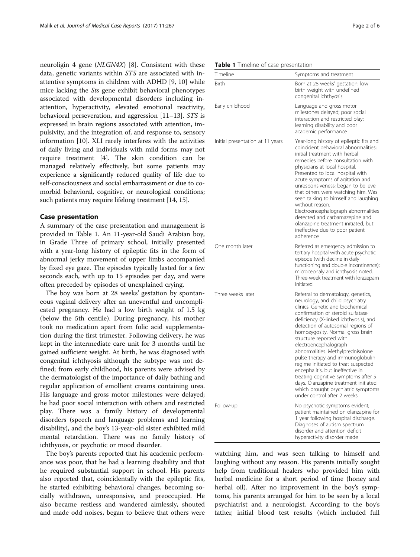neuroligin 4 gene (NLGN4X) [[8\]](#page-5-0). Consistent with these data, genetic variants within STS are associated with inattentive symptoms in children with ADHD [[9, 10\]](#page-5-0) while mice lacking the Sts gene exhibit behavioral phenotypes associated with developmental disorders including inattention, hyperactivity, elevated emotional reactivity, behavioral perseveration, and aggression [\[11](#page-5-0)–[13\]](#page-5-0). STS is expressed in brain regions associated with attention, impulsivity, and the integration of, and response to, sensory information [[10\]](#page-5-0). XLI rarely interferes with the activities of daily living and individuals with mild forms may not require treatment [[4\]](#page-5-0). The skin condition can be managed relatively effectively, but some patients may experience a significantly reduced quality of life due to self-consciousness and social embarrassment or due to comorbid behavioral, cognitive, or neurological conditions; such patients may require lifelong treatment [[14](#page-5-0), [15\]](#page-5-0).

## Case presentation

A summary of the case presentation and management is provided in Table 1. An 11-year-old Saudi Arabian boy, in Grade Three of primary school, initially presented with a year-long history of epileptic fits in the form of abnormal jerky movement of upper limbs accompanied by fixed eye gaze. The episodes typically lasted for a few seconds each, with up to 15 episodes per day, and were often preceded by episodes of unexplained crying.

The boy was born at 28 weeks' gestation by spontaneous vaginal delivery after an uneventful and uncomplicated pregnancy. He had a low birth weight of 1.5 kg (below the 5th centile). During pregnancy, his mother took no medication apart from folic acid supplementation during the first trimester. Following delivery, he was kept in the intermediate care unit for 3 months until he gained sufficient weight. At birth, he was diagnosed with congenital ichthyosis although the subtype was not defined; from early childhood, his parents were advised by the dermatologist of the importance of daily bathing and regular application of emollient creams containing urea. His language and gross motor milestones were delayed; he had poor social interaction with others and restricted play. There was a family history of developmental disorders (speech and language problems and learning disability), and the boy's 13-year-old sister exhibited mild mental retardation. There was no family history of ichthyosis, or psychotic or mood disorder.

The boy's parents reported that his academic performance was poor, that he had a learning disability and that he required substantial support in school. His parents also reported that, coincidentally with the epileptic fits, he started exhibiting behavioral changes, becoming socially withdrawn, unresponsive, and preoccupied. He also became restless and wandered aimlessly, shouted and made odd noises, began to believe that others were

|  |  |  | Table 1 Timeline of case presentation |
|--|--|--|---------------------------------------|
|--|--|--|---------------------------------------|

| Timeline                         | Symptoms and treatment                                                                                                                                                                                                                                                                                                                                                                                                                                                                                                                                                                                                       |
|----------------------------------|------------------------------------------------------------------------------------------------------------------------------------------------------------------------------------------------------------------------------------------------------------------------------------------------------------------------------------------------------------------------------------------------------------------------------------------------------------------------------------------------------------------------------------------------------------------------------------------------------------------------------|
| Birth                            | Born at 28 weeks' gestation: low<br>birth weight with undefined<br>congenital ichthyosis                                                                                                                                                                                                                                                                                                                                                                                                                                                                                                                                     |
| Early childhood                  | Language and gross motor<br>milestones delayed; poor social<br>interaction and restricted play;<br>learning disability and poor<br>academic performance                                                                                                                                                                                                                                                                                                                                                                                                                                                                      |
| Initial presentation at 11 years | Year-long history of epileptic fits and<br>coincident behavioral abnormalities:<br>initial treatment with herbal<br>remedies before consultation with<br>physicians at local hospital.<br>Presented to local hospital with<br>acute symptoms of agitation and<br>unresponsiveness; began to believe<br>that others were watching him. Was<br>seen talking to himself and laughing<br>without reason.<br>Electroencephalograph abnormalities<br>detected and carbamazepine and<br>olanzapine treatment initiated, but<br>ineffective due to poor patient<br>adherence                                                         |
| One month later                  | Referred as emergency admission to<br>tertiary hospital with acute psychotic<br>episode (with decline in daily<br>functioning and double incontinence);<br>microcephaly and ichthyosis noted.<br>Three-week treatment with lorazepam<br>initiated                                                                                                                                                                                                                                                                                                                                                                            |
| Three weeks later                | Referral to dermatology, genetics,<br>neurology, and child psychiatry<br>clinics. Genetic and biochemical<br>confirmation of steroid sulfatase<br>deficiency (X-linked ichthyosis), and<br>detection of autosomal regions of<br>homozygosity. Normal gross brain<br>structure reported with<br>electroencephalograph<br>abnormalities. Methylprednisolone<br>pulse therapy and immunoglobulin<br>regime initiated to treat suspected<br>encephalitis, but ineffective in<br>treating cognitive symptoms after 5<br>days. Olanzapine treatment initiated<br>which brought psychiatric symptoms<br>under control after 2 weeks |
| Follow-up                        | No psychotic symptoms evident;<br>patient maintained on olanzapine for<br>1 year following hospital discharge.<br>Diagnoses of autism spectrum<br>disorder and attention deficit<br>hyperactivity disorder made                                                                                                                                                                                                                                                                                                                                                                                                              |

watching him, and was seen talking to himself and laughing without any reason. His parents initially sought help from traditional healers who provided him with herbal medicine for a short period of time (honey and herbal oil). After no improvement in the boy's symptoms, his parents arranged for him to be seen by a local psychiatrist and a neurologist. According to the boy's father, initial blood test results (which included full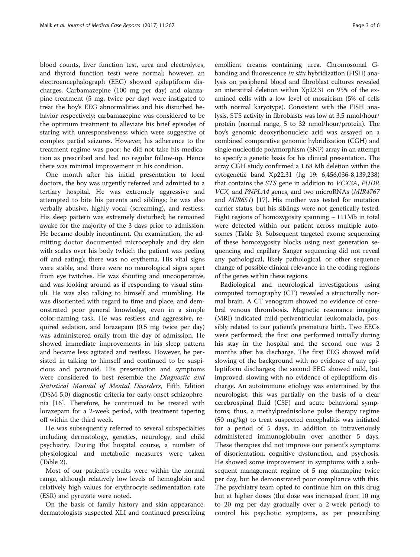blood counts, liver function test, urea and electrolytes, and thyroid function test) were normal; however, an electroencephalograph (EEG) showed epileptiform discharges. Carbamazepine (100 mg per day) and olanzapine treatment (5 mg, twice per day) were instigated to treat the boy's EEG abnormalities and his disturbed behavior respectively; carbamazepine was considered to be the optimum treatment to alleviate his brief episodes of staring with unresponsiveness which were suggestive of complex partial seizures. However, his adherence to the treatment regime was poor: he did not take his medication as prescribed and had no regular follow-up. Hence there was minimal improvement in his condition.

One month after his initial presentation to local doctors, the boy was urgently referred and admitted to a tertiary hospital. He was extremely aggressive and attempted to bite his parents and siblings; he was also verbally abusive, highly vocal (screaming), and restless. His sleep pattern was extremely disturbed; he remained awake for the majority of the 3 days prior to admission. He became doubly incontinent. On examination, the admitting doctor documented microcephaly and dry skin with scales over his body (which the patient was peeling off and eating); there was no erythema. His vital signs were stable, and there were no neurological signs apart from eye twitches. He was shouting and uncooperative, and was looking around as if responding to visual stimuli. He was also talking to himself and mumbling. He was disoriented with regard to time and place, and demonstrated poor general knowledge, even in a simple color-naming task. He was restless and aggressive, required sedation, and lorazepam (0.5 mg twice per day) was administered orally from the day of admission. He showed immediate improvements in his sleep pattern and became less agitated and restless. However, he persisted in talking to himself and continued to be suspicious and paranoid. His presentation and symptoms were considered to best resemble the Diagnostic and Statistical Manual of Mental Disorders, Fifth Edition (DSM-5.0) diagnostic criteria for early-onset schizophrenia [[16\]](#page-5-0). Therefore, he continued to be treated with lorazepam for a 2-week period, with treatment tapering off within the third week.

He was subsequently referred to several subspecialties including dermatology, genetics, neurology, and child psychiatry. During the hospital course, a number of physiological and metabolic measures were taken (Table [2\)](#page-3-0).

Most of our patient's results were within the normal range, although relatively low levels of hemoglobin and relatively high values for erythrocyte sedimentation rate (ESR) and pyruvate were noted.

On the basis of family history and skin appearance, dermatologists suspected XLI and continued prescribing

emollient creams containing urea. Chromosomal Gbanding and fluorescence *in situ* hybridization (FISH) analysis on peripheral blood and fibroblast cultures revealed an interstitial deletion within Xp22.31 on 95% of the examined cells with a low level of mosaicism (5% of cells with normal karyotype). Consistent with the FISH analysis, STS activity in fibroblasts was low at 3.5 nmol/hour/ protein (normal range, 5 to 32 nmol/hour/protein). The boy's genomic deoxyribonucleic acid was assayed on a combined comparative genomic hybridization (CGH) and single nucleotide polymorphism (SNP) array in an attempt to specify a genetic basis for his clinical presentation. The array CGH study confirmed a 1.68 Mb deletion within the cytogenetic band Xp22.31 (hg 19: 6,456,036-8,139,238) that contains the STS gene in addition to VCX3A, PUDP, VCX, and PNPLA4 genes, and two microRNAs (MIR4767 and MIR651) [\[17\]](#page-5-0). His mother was tested for mutation carrier status, but his siblings were not genetically tested. Eight regions of homozygosity spanning  $\sim$  111Mb in total were detected within our patient across multiple autosomes (Table [3](#page-4-0)). Subsequent targeted exome sequencing of these homozygosity blocks using next generation sequencing and capillary Sanger sequencing did not reveal any pathological, likely pathological, or other sequence change of possible clinical relevance in the coding regions of the genes within these regions.

Radiological and neurological investigations using computed tomography (CT) revealed a structurally normal brain. A CT venogram showed no evidence of cerebral venous thrombosis. Magnetic resonance imaging (MRI) indicated mild periventricular leukomalacia, possibly related to our patient's premature birth. Two EEGs were performed; the first one performed initially during his stay in the hospital and the second one was 2 months after his discharge. The first EEG showed mild slowing of the background with no evidence of any epileptiform discharges; the second EEG showed mild, but improved, slowing with no evidence of epileptiform discharge. An autoimmune etiology was entertained by the neurologist; this was partially on the basis of a clear cerebrospinal fluid (CSF) and acute behavioral symptoms; thus, a methylprednisolone pulse therapy regime (50 mg/kg) to treat suspected encephalitis was initiated for a period of 5 days, in addition to intravenously administered immunoglobulin over another 5 days. These therapies did not improve our patient's symptoms of disorientation, cognitive dysfunction, and psychosis. He showed some improvement in symptoms with a subsequent management regime of 5 mg olanzapine twice per day, but he demonstrated poor compliance with this. The psychiatry team opted to continue him on this drug but at higher doses (the dose was increased from 10 mg to 20 mg per day gradually over a 2-week period) to control his psychotic symptoms, as per prescribing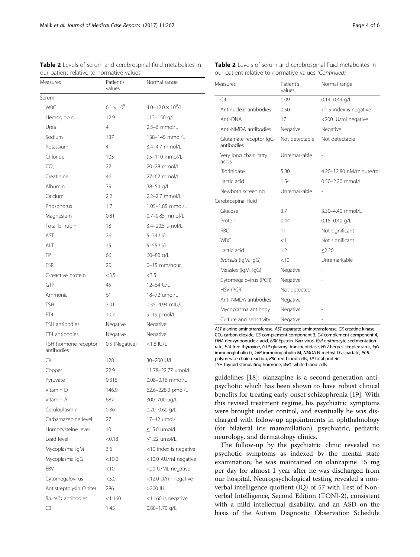our patient relative to normative values

<span id="page-3-0"></span>Table 2 Levels of serum and cerebrospinal fluid metabolites in

| Measures                           | Patient's<br>Normal range<br>values |                               |
|------------------------------------|-------------------------------------|-------------------------------|
| Serum                              |                                     |                               |
| <b>WBC</b>                         | $6.1 \times 10^{9}$                 | $4.0 - 12.0 \times 10^{9}$ /L |
| Hemoglobin                         | 12.9                                | 113-150 g/L                   |
| Urea                               | 4                                   | $2.5 - 6$ mmol/L              |
| Sodium                             | 137                                 | 138-145 mmol/L                |
| Potassium                          | $\overline{4}$                      | 3.4-4.7 mmol/L                |
| Chloride                           | 103                                 | 95-110 mmol/L                 |
| CO <sub>2</sub>                    | 22                                  | 20-28 mmol/L                  |
| Creatinine                         | 46                                  | 27-62 mmol/L                  |
| Albumin                            | 39                                  | 38-54 g/L                     |
| Calcium                            | 2.2                                 | 2.2-2.7 mmol/L                |
| Phosphorus                         | 1.7                                 | 1.05-1.85 mmol/L              |
| Magnesium                          | 0.81                                | 0.7-0.85 mmol/L               |
| Total bilirubin                    | 18                                  | 3.4-20.5 umol/L               |
| AST                                | 26                                  | 5-34 U/L                      |
| ALT                                | 15                                  | 5-55 U/L                      |
| TP                                 | 66                                  | 60-80 g/L                     |
| <b>FSR</b>                         | 20                                  | 0-15 mm/hour                  |
| C-reactive protein                 | < 3.5                               | $<$ 3.5                       |
| GTP                                | 45                                  | 12-64 U/L                     |
| Ammonia                            | 61                                  | 18-72 umol/L                  |
| <b>TSH</b>                         | 3.01                                | 0.35-4.94 mIU/L               |
| FT4                                | 10.7                                | 9-19 pmol/L                   |
| TSH antibodies                     | Negative                            | Negative                      |
| FT4 antibodies                     | Negative                            | Negative                      |
| TSH hormone receptor<br>antibodies | 0.5 (Negative)                      | $<$ 1.8 IU/L                  |
| СK                                 | 128                                 | 30-200 U/L                    |
| Copper                             | 22.9                                | 11.78-22.77 umol/L            |
| Pyruvate                           | 0.315                               | 0.08-0.16 mmol/L              |
| Vitamin D                          | 146.9                               | 62.6-228.0 pmol/L             |
| Vitamin A                          | 687                                 | 300-700 ug/L                  |
| Ceruloplasmin                      | 0.36                                | $0.20 - 0.60$ g/L             |
| Carbamazepine level                | 27                                  | 17-42 umol/L                  |
| Homocysteine level                 | 10                                  | ≤15.0 umol/L                  |
| Lead level                         | < 0.18                              | $<1.22$ umol/L                |
| Mycoplasma IgM                     | 3.6                                 | <10 index is negative         |
| Mycoplasma IgG                     | < 10.0                              | <10.0 AU/ml negative          |
| EBV                                | $<$ 10                              | <20 U/ML negative             |
| Cytomegalovirus                    | < 5.0                               | <12.0 U/ml negative           |
| Antistreptolysin O titer           | 286                                 | >200 IU                       |
| Brucella antibodies                | <1:160                              | <1:160 is negative            |
| C3                                 | 1.45                                | $0.80 - 1.70$ g/L             |

| Table 2 Levels of serum and cerebrospinal fluid metabolites in |  |
|----------------------------------------------------------------|--|
| our patient relative to normative values (Continued)           |  |

| Measures                             | Patient's<br>values | Normal range             |  |
|--------------------------------------|---------------------|--------------------------|--|
| C4                                   | 0.09                | $0.14 - 0.44$ g/L        |  |
| Antinuclear antibodies               | 0.50                | <1.5 index is negative   |  |
| Anti-DNA                             | 17                  | <200 IU/ml negative      |  |
| Anti-NMDA antibodies                 | Negative            | Negative                 |  |
| Glutamate receptor IgG<br>antibodies | Not detectable      | Not detectable           |  |
| Very long chain fatty<br>acids       | Unremarkable        |                          |  |
| <b>Biotinidase</b>                   | 5.80                | 4.20-12.80 nM/minute/ml  |  |
| Lactic acid                          | 1.54                | 0.50-2.20 mmol/L         |  |
| Newborn screening                    | Unremarkable        |                          |  |
| Cerebrospinal fluid                  |                     |                          |  |
| Glucose                              | 3.7                 | 3.30-4.40 mmol/L         |  |
| Protein                              | 0.44                | $0.15 - 0.40$ g/L        |  |
| <b>RBC</b>                           | 11                  | Not significant          |  |
| <b>WBC</b>                           | <1                  | Not significant          |  |
| Lactic acid                          | 1.2                 | < 2.20                   |  |
| Brucella (IgM, IgG)                  | < 10                | Unremarkable             |  |
| Measles (IgM, IgG)                   | Negative            | $\overline{\phantom{m}}$ |  |
| Cytomegalovirus (PCR)                | Negative            |                          |  |
| HSV (PCR)                            | Not detected        |                          |  |
| Anti-NMDA antibodies                 | Negative            |                          |  |
| Mycoplasma antibody                  | Negative            |                          |  |
| Culture and sensitivity              | Negative            |                          |  |

ALT alanine aminotransferase, AST aspartate aminotransferase, CK creatine kinase,  $CO<sub>2</sub>$  carbon dioxide, C3 complement component 3, C4 complement component 4, DNA deoxyribonucleic acid, EBV Epstein–Barr virus, ESR erythrocyte sedimentation rate, FT4 free thyroxine, GTP glutamyl transpeptidase, HSV herpes simplex virus, IgG immunoglobulin G, IgM immunoglobulin M, NMDA N-methyl-D-aspartate, PCR polymerase chain reaction, RBC red blood cells, TP total protein, TSH thyroid-stimulating hormone, WBC white blood cells

guidelines [\[18\]](#page-5-0); olanzapine is a second-generation antipsychotic which has been shown to have robust clinical benefits for treating early-onset schizophrenia [\[19](#page-5-0)]. With this revised treatment regime, his psychiatric symptoms were brought under control, and eventually he was discharged with follow-up appointments in ophthalmology (for bilateral iris mammillation), psychiatric, pediatric neurology, and dermatology clinics.

The follow-up by the psychiatric clinic revealed no psychotic symptoms as indexed by the mental state examination; he was maintained on olanzapine 15 mg per day for almost 1 year after he was discharged from our hospital. Neuropsychological testing revealed a nonverbal intelligence quotient (IQ) of 57 with Test of Nonverbal Intelligence, Second Edition (TONI-2), consistent with a mild intellectual disability, and an ASD on the basis of the Autism Diagnostic Observation Schedule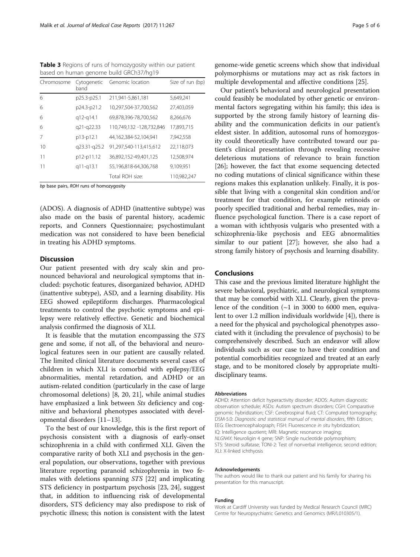<span id="page-4-0"></span>Table 3 Regions of runs of homozygosity within our patient based on human genome build GRCh37/hg19

| Chromosome | Cytogenetic<br>band | Genomic location         | Size of run (bp) |
|------------|---------------------|--------------------------|------------------|
| 6          | p25.3-p25.1         | 211,941-5,861,181        | 5,649,241        |
| 6          | p24.3-p21.2         | 10,297,504-37,700,562    | 27,403,059       |
| 6          | q12-q14.1           | 69,878,396-78,700,562    | 8,266,676        |
| 6          | q21-q22.33          | 110,749,132 -128,732,846 | 17,893,715       |
| 7          | p13-p12.1           | 44,162,384-52,104,941    | 7,942,558        |
| 10         | q23.31-q25.2        | 91,297,540-113,415,612   | 22,118,073       |
| 11         | p12-p11.12          | 36,892,152-49,401,125    | 12,508,974       |
| 11         | q11-q13.1           | 55,196,818-64,306,768    | 9,109,951        |
|            |                     | Total ROH size:          | 110,982,247      |

bp base pairs, ROH runs of homozygosity

(ADOS). A diagnosis of ADHD (inattentive subtype) was also made on the basis of parental history, academic reports, and Conners Questionnaire; psychostimulant medication was not considered to have been beneficial in treating his ADHD symptoms.

# **Discussion**

Our patient presented with dry scaly skin and pronounced behavioral and neurological symptoms that included: psychotic features, disorganized behavior, ADHD (inattentive subtype), ASD, and a learning disability. His EEG showed epileptiform discharges. Pharmacological treatments to control the psychotic symptoms and epilepsy were relatively effective. Genetic and biochemical analysis confirmed the diagnosis of XLI.

It is feasible that the mutation encompassing the STS gene and some, if not all, of the behavioral and neurological features seen in our patient are causally related. The limited clinical literature documents several cases of children in which XLI is comorbid with epilepsy/EEG abnormalities, mental retardation, and ADHD or an autism-related condition (particularly in the case of large chromosomal deletions) [\[8](#page-5-0), [20](#page-5-0), [21\]](#page-5-0), while animal studies have emphasized a link between Sts deficiency and cognitive and behavioral phenotypes associated with developmental disorders [[11](#page-5-0)–[13](#page-5-0)].

To the best of our knowledge, this is the first report of psychosis consistent with a diagnosis of early-onset schizophrenia in a child with confirmed XLI. Given the comparative rarity of both XLI and psychosis in the general population, our observations, together with previous literature reporting paranoid schizophrenia in two females with deletions spanning STS [\[22](#page-5-0)] and implicating STS deficiency in postpartum psychosis [[23, 24](#page-5-0)], suggest that, in addition to influencing risk of developmental disorders, STS deficiency may also predispose to risk of psychotic illness; this notion is consistent with the latest

genome-wide genetic screens which show that individual polymorphisms or mutations may act as risk factors in multiple developmental and affective conditions [[25](#page-5-0)].

Our patient's behavioral and neurological presentation could feasibly be modulated by other genetic or environmental factors segregating within his family; this idea is supported by the strong family history of learning disability and the communication deficits in our patient's eldest sister. In addition, autosomal runs of homozygosity could theoretically have contributed toward our patient's clinical presentation through revealing recessive deleterious mutations of relevance to brain function [[26\]](#page-5-0); however, the fact that exome sequencing detected no coding mutations of clinical significance within these regions makes this explanation unlikely. Finally, it is possible that living with a congenital skin condition and/or treatment for that condition, for example retinoids or poorly specified traditional and herbal remedies, may influence psychological function. There is a case report of a woman with ichthyosis vulgaris who presented with a schizophrenia-like psychosis and EEG abnormalities similar to our patient [[27\]](#page-5-0); however, she also had a strong family history of psychosis and learning disability.

## Conclusions

This case and the previous limited literature highlight the severe behavioral, psychiatric, and neurological symptoms that may be comorbid with XLI. Clearly, given the prevalence of the condition  $(-1 \text{ in } 3000 \text{ to } 6000 \text{ men, equiva-}$ lent to over 1.2 million individuals worldwide [\[4\]](#page-5-0)), there is a need for the physical and psychological phenotypes associated with it (including the prevalence of psychosis) to be comprehensively described. Such an endeavor will allow individuals such as our case to have their condition and potential comorbidities recognized and treated at an early stage, and to be monitored closely by appropriate multidisciplinary teams.

#### Abbreviations

ADHD: Attention deficit hyperactivity disorder; ADOS: Autism diagnostic observation schedule; ASDs: Autism spectrum disorders; CGH: Comparative genomic hybridization; CSF: Cerebrospinal fluid; CT: Computed tomography; DSM-5.0: Diagnostic and statistical manual of mental disorders, fifth Edition; EEG: Electroencephalograph; FISH: Fluorescence in situ hybridization; IQ: Intelligence quotient; MRI: Magnetic resonance imaging; NLGN4X: Neuroligin 4 gene; SNP: Single nucleotide polymorphism; STS: Steroid sulfatase; TONI-2: Test of nonverbal intelligence, second edition; XLI: X-linked ichthyosis

#### Acknowledgements

The authors would like to thank our patient and his family for sharing his presentation for this manuscript.

#### Funding

Work at Cardiff University was funded by Medical Research Council (MRC) Centre for Neuropsychiatric Genetics and Genomics (MR/L010305/1).